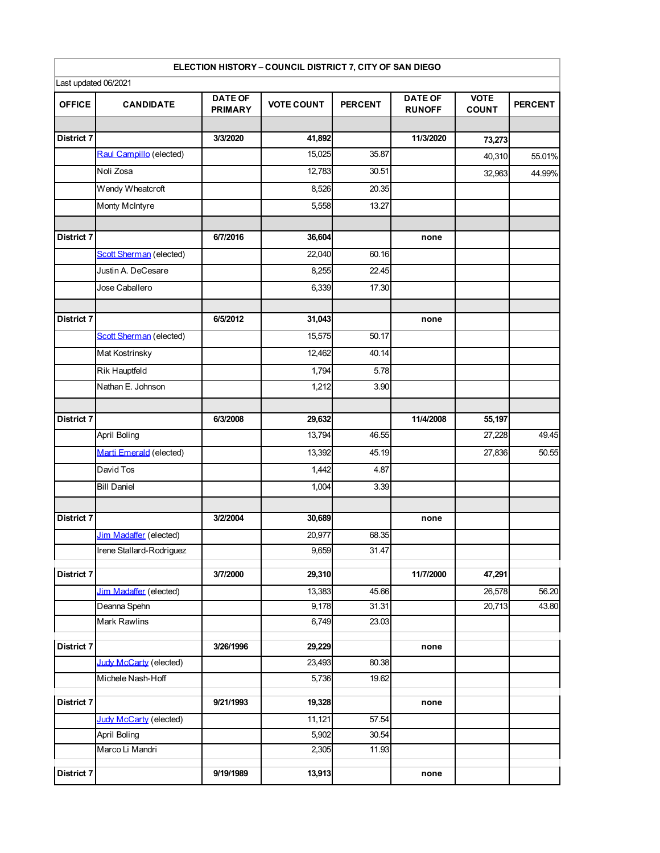## **ELECTION HISTORY – COUNCIL DISTRICT 7, CITY OF SAN DIEGO**

|                   | Last updated 06/2021     |                                  |                   |                |                                 |                             |                |
|-------------------|--------------------------|----------------------------------|-------------------|----------------|---------------------------------|-----------------------------|----------------|
| <b>OFFICE</b>     | <b>CANDIDATE</b>         | <b>DATE OF</b><br><b>PRIMARY</b> | <b>VOTE COUNT</b> | <b>PERCENT</b> | <b>DATE OF</b><br><b>RUNOFF</b> | <b>VOTE</b><br><b>COUNT</b> | <b>PERCENT</b> |
|                   |                          |                                  |                   |                |                                 |                             |                |
| <b>District 7</b> |                          | 3/3/2020                         | 41,892            |                | 11/3/2020                       | 73,273                      |                |
|                   | Raul Campillo (elected)  |                                  | 15,025            | 35.87          |                                 | 40,310                      | 55.01%         |
|                   | Noli Zosa                |                                  | 12,783            | 30.51          |                                 | 32,963                      | 44.99%         |
|                   | Wendy Wheatcroft         |                                  | 8,526             | 20.35          |                                 |                             |                |
|                   | Monty McIntyre           |                                  | 5,558             | 13.27          |                                 |                             |                |
| <b>District 7</b> |                          | 6/7/2016                         | 36,604            |                | none                            |                             |                |
|                   | Scott Sherman (elected)  |                                  | 22,040            | 60.16          |                                 |                             |                |
|                   | Justin A. DeCesare       |                                  | 8,255             | 22.45          |                                 |                             |                |
|                   | Jose Caballero           |                                  | 6,339             | 17.30          |                                 |                             |                |
| <b>District 7</b> |                          | 6/5/2012                         | 31,043            |                | none                            |                             |                |
|                   | Scott Sherman (elected)  |                                  | 15,575            | 50.17          |                                 |                             |                |
|                   | Mat Kostrinsky           |                                  |                   |                |                                 |                             |                |
|                   |                          |                                  | 12,462            | 40.14          |                                 |                             |                |
|                   | Rik Hauptfeld            |                                  | 1,794             | 5.78           |                                 |                             |                |
|                   | Nathan E. Johnson        |                                  | 1,212             | 3.90           |                                 |                             |                |
| <b>District 7</b> |                          | 6/3/2008                         | 29,632            |                | 11/4/2008                       | 55,197                      |                |
|                   | April Boling             |                                  | 13,794            | 46.55          |                                 | 27,228                      | 49.45          |
|                   | Marti Emerald (elected)  |                                  | 13,392            | 45.19          |                                 | 27,836                      | 50.55          |
|                   | David Tos                |                                  | 1,442             | 4.87           |                                 |                             |                |
|                   | <b>Bill Daniel</b>       |                                  | 1,004             | 3.39           |                                 |                             |                |
| <b>District 7</b> |                          | 3/2/2004                         | 30,689            |                | none                            |                             |                |
|                   | Jim Madaffer (elected)   |                                  | 20,977            | 68.35          |                                 |                             |                |
|                   | Irene Stallard-Rodriguez |                                  | 9,659             | 31.47          |                                 |                             |                |
| <b>District 7</b> |                          | 3/7/2000                         | 29,310            |                | 11/7/2000                       | 47,291                      |                |
|                   | Jim Madaffer (elected)   |                                  | 13,383            | 45.66          |                                 | 26,578                      | 56.20          |
|                   | Deanna Spehn             |                                  | 9,178             | 31.31          |                                 | 20,713                      | 43.80          |
|                   | Mark Rawlins             |                                  | 6,749             | 23.03          |                                 |                             |                |
| District 7        |                          | 3/26/1996                        | 29,229            |                | none                            |                             |                |
|                   | Judy McCarty (elected)   |                                  | 23,493            | 80.38          |                                 |                             |                |
|                   | Michele Nash-Hoff        |                                  | 5,736             | 19.62          |                                 |                             |                |
| <b>District 7</b> |                          | 9/21/1993                        | 19,328            |                | none                            |                             |                |
|                   | Judy McCarty (elected)   |                                  | 11,121            | 57.54          |                                 |                             |                |
|                   | April Boling             |                                  | 5,902             | 30.54          |                                 |                             |                |
|                   | Marco Li Mandri          |                                  | 2,305             | 11.93          |                                 |                             |                |
| <b>District 7</b> |                          | 9/19/1989                        | 13,913            |                | none                            |                             |                |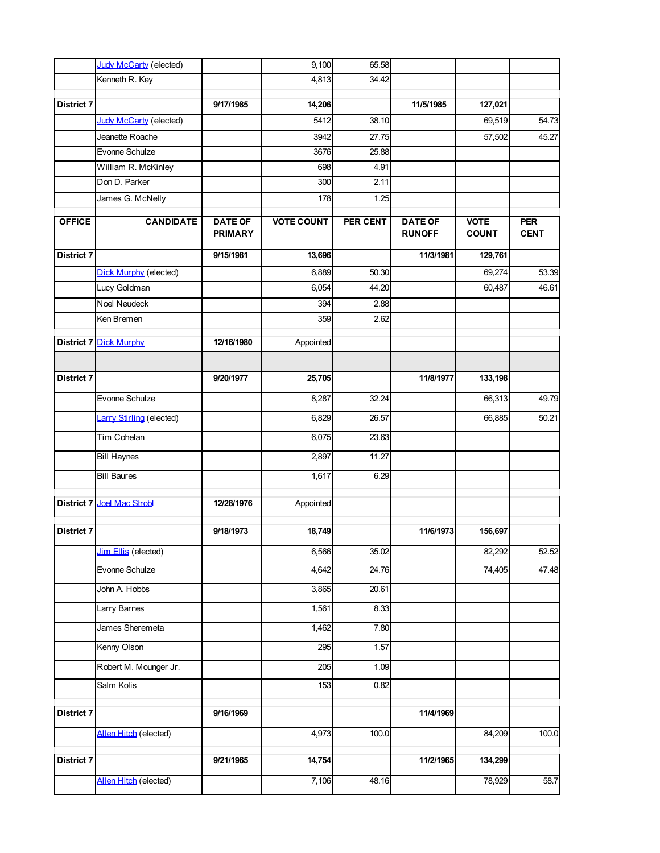|                   | Judy McCarty (elected)        |                                  | 9,100             | 65.58    |                                 |                             |                           |
|-------------------|-------------------------------|----------------------------------|-------------------|----------|---------------------------------|-----------------------------|---------------------------|
|                   | Kenneth R. Key                |                                  | 4,813             | 34.42    |                                 |                             |                           |
| District 7        |                               | 9/17/1985                        | 14,206            |          | 11/5/1985                       | 127,021                     |                           |
|                   | <b>Judy McCarty (elected)</b> |                                  | 5412              | 38.10    |                                 | 69,519                      | $\overline{5}4.73$        |
|                   | Jeanette Roache               |                                  | 3942              | 27.75    |                                 | 57,502                      | 45.27                     |
|                   | Evonne Schulze                |                                  | 3676              | 25.88    |                                 |                             |                           |
|                   | William R. McKinley           |                                  | 698               | 4.91     |                                 |                             |                           |
|                   | Don D. Parker                 |                                  | 300               | 2.11     |                                 |                             |                           |
|                   | James G. McNelly              |                                  | 178               | 1.25     |                                 |                             |                           |
| <b>OFFICE</b>     | <b>CANDIDATE</b>              | <b>DATE OF</b><br><b>PRIMARY</b> | <b>VOTE COUNT</b> | PER CENT | <b>DATE OF</b><br><b>RUNOFF</b> | <b>VOTE</b><br><b>COUNT</b> | <b>PER</b><br><b>CENT</b> |
| District 7        |                               | 9/15/1981                        | 13,696            |          | 11/3/1981                       | 129,761                     |                           |
|                   | Dick Murphy (elected)         |                                  | 6,889             | 50.30    |                                 | 69,274                      | 53.39                     |
|                   | Lucy Goldman                  |                                  | 6,054             | 44.20    |                                 | 60,487                      | 46.61                     |
|                   | <b>Noel Neudeck</b>           |                                  | 394               | 2.88     |                                 |                             |                           |
|                   | Ken Bremen                    |                                  | 359               | 2.62     |                                 |                             |                           |
|                   | <b>District 7 Dick Murphy</b> | 12/16/1980                       | Appointed         |          |                                 |                             |                           |
|                   |                               |                                  |                   |          |                                 |                             |                           |
| District 7        |                               | 9/20/1977                        | 25,705            |          | 11/8/1977                       | 133,198                     |                           |
|                   | Evonne Schulze                |                                  | 8,287             | 32.24    |                                 | 66,313                      | 49.79                     |
|                   | Larry Stirling (elected)      |                                  | 6,829             | 26.57    |                                 | 66,885                      | 50.21                     |
|                   | Tim Cohelan                   |                                  | 6,075             | 23.63    |                                 |                             |                           |
|                   | <b>Bill Haynes</b>            |                                  | 2,897             | 11.27    |                                 |                             |                           |
|                   | <b>Bill Baures</b>            |                                  | 1,617             | 6.29     |                                 |                             |                           |
|                   | District 7 Joel Mac Strobl    | 12/28/1976                       | Appointed         |          |                                 |                             |                           |
| <b>District 7</b> |                               | 9/18/1973                        | 18,749            |          | 11/6/1973                       | 156,697                     |                           |
|                   | <b>Jim Ellis</b> (elected)    |                                  | 6,566             | 35.02    |                                 | 82,292                      | 52.52                     |
|                   | Evonne Schulze                |                                  | 4,642             | 24.76    |                                 | 74,405                      | 47.48                     |
|                   | John A. Hobbs                 |                                  | 3,865             | 20.61    |                                 |                             |                           |
|                   | Larry Barnes                  |                                  | 1,561             | 8.33     |                                 |                             |                           |
|                   | James Sheremeta               |                                  | 1,462             | 7.80     |                                 |                             |                           |
|                   | Kenny Olson                   |                                  | 295               | 1.57     |                                 |                             |                           |
|                   | Robert M. Mounger Jr.         |                                  | 205               | 1.09     |                                 |                             |                           |
|                   | Salm Kolis                    |                                  | 153               | 0.82     |                                 |                             |                           |
| <b>District 7</b> |                               | 9/16/1969                        |                   |          | 11/4/1969                       |                             |                           |
|                   | Allen Hitch (elected)         |                                  | 4,973             | 100.0    |                                 | 84,209                      | 100.0                     |
| <b>District 7</b> |                               | 9/21/1965                        | 14,754            |          | 11/2/1965                       | 134,299                     |                           |
|                   | Allen Hitch (elected)         |                                  | 7,106             | 48.16    |                                 | 78,929                      | 58.7                      |
|                   |                               |                                  |                   |          |                                 |                             |                           |